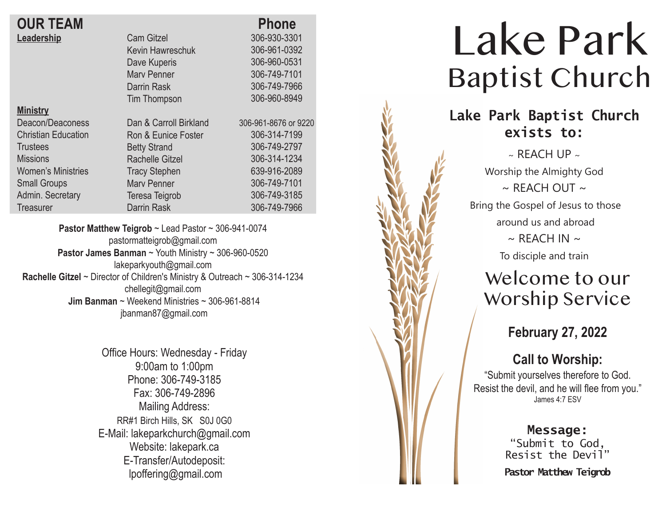### **OUR TEAM Leadership**

| <b>OUR TEAM</b>            |                         | <b>Phone</b>         |
|----------------------------|-------------------------|----------------------|
| Leadership                 | <b>Cam Gitzel</b>       | 306-930-3301         |
|                            | <b>Kevin Hawreschuk</b> | 306-961-0392         |
|                            | Dave Kuperis            | 306-960-0531         |
|                            | <b>Mary Penner</b>      | 306-749-7101         |
|                            | Darrin Rask             | 306-749-7966         |
|                            | <b>Tim Thompson</b>     | 306-960-8949         |
| <b>Ministry</b>            |                         |                      |
| Deacon/Deaconess           | Dan & Carroll Birkland  | 306-961-8676 or 9220 |
| <b>Christian Education</b> | Ron & Eunice Foster     | 306-314-7199         |
| <b>Trustees</b>            | <b>Betty Strand</b>     | 306-749-2797         |
| <b>Missions</b>            | <b>Rachelle Gitzel</b>  | 306-314-1234         |
| Women's Ministries         | <b>Tracy Stephen</b>    | 639-916-2089         |
| <b>Small Groups</b>        | <b>Mary Penner</b>      | 306-749-7101         |
| Admin. Secretary           | Teresa Teigrob          | 306-749-3185         |
| Treasurer                  | Darrin Rask             | 306-749-7966         |
|                            |                         |                      |

**Pastor Matthew Teigrob** ~ Lead Pastor ~ 306-941-0074 pastormatteigrob@gmail.com **Pastor James Banman** ~ Youth Ministry ~ 306-960-0520 lakeparkyouth@gmail.com **Rachelle Gitzel** ~ Director of Children's Ministry & Outreach ~ 306-314-1234 chellegit@gmail.com  **Jim Banman** ~ Weekend Ministries ~ 306-961-8814 jbanman87@gmail.com

> Office Hours: Wednesday - Friday 9:00am to 1:00pm Phone: 306-749-3185 Fax: 306-749-2896 Mailing Address: RR#1 Birch Hills, SK S0J 0G0 E-Mail: lakeparkchurch@gmail.com Website: lakepark.ca E-Transfer/Autodeposit: lpoffering@gmail.com